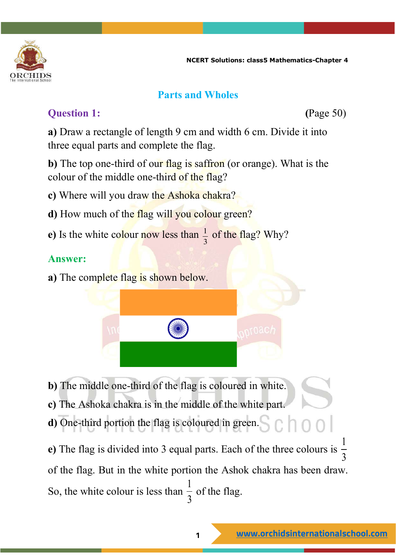

#### **Parts and Wholes**

### **Ouestion 1:** (Page 50)

**a)** Draw a rectangle of length 9 cm and width 6 cm. Divide it into three equal parts and complete the flag.

**b**) The top one-third of our flag is saffron (or orange). What is the colour of the middle one-third of the flag?

- **c)** Where will you draw the Ashoka chakra?
- **d**) How much of the flag will you colour green?
- **e**) Is the white colour now less than  $\frac{1}{2}$ 3 of the flag? Why?

#### **Answer:**

**a)** The complete flag is shown below.



**b)** The middle one-third of the flag is coloured in white.

**c)** The Ashoka chakra is in the middle of the white part.

**d)** One-third portion the flag is coloured in green.  $c$  hool

**e)** The flag is divided into 3 equal parts. Each of the three colours is 1 3 of the flag. But in the white portion the Ashok chakra has been draw. So, the white colour is less than  $\frac{1}{2}$  $\frac{1}{3}$  of the flag.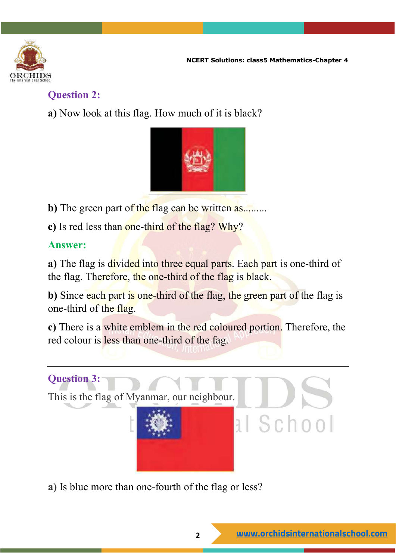

#### **Question 2:**

**a)** Now look at this flag. How much of it is black?



**b**) The green part of the flag can be written as........

**c)** Is red less than one-third of the flag? Why?

## **Answer:**

**a**) The flag is divided into three equal parts. Each part is one-third of the flag. Therefore, the one-third of the flag is black.

**b**) Since each part is one-third of the flag, the green part of the flag is one-third of the flag.

**c)** There is a white emblem in the red coloured portion. Therefore, the red colour is less than one-third of the fag.



**a)** Is blue more than one-fourth of the flag or less?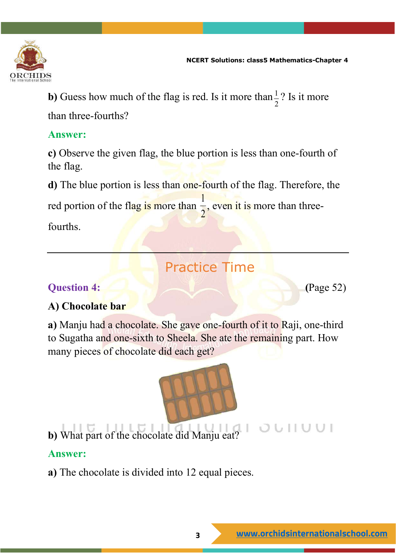

**b**) Guess how much of the flag is red. Is it more than  $\frac{1}{2}$ 2 ? Is it more than three-fourths?

#### **Answer:**

**c)** Observe the given flag, the blue portion is less than one-fourth of the flag.

**d)** The blue portion is less than one-fourth of the flag. Therefore, the red portion of the flag is more than 1 2 , even it is more than threefourths.

# Practice Time

#### **Question 4:** (Page 52)

#### **A) Chocolate bar**

**a)** Manju had a chocolate. She gave one-fourth of it to Raji, one-third to Sugatha and one-sixth to Sheela. She ate the remaining part. How many pieces of chocolate did each get?



**b)** What part of the chocolate did Manju eat?

#### **Answer:**

**a)** The chocolate is divided into 12 equal pieces.

 $0 0 1 1 0 0 1$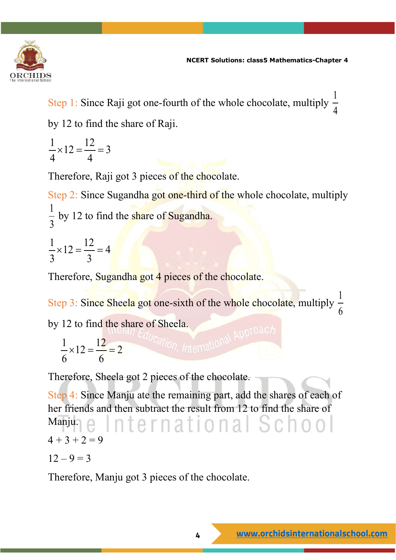

Step 1: Since Raji got one-fourth of the whole chocolate, multiply  $\frac{1}{4}$ 4 by 12 to find the share of Raji.

$$
\frac{1}{4} \times 12 = \frac{12}{4} = 3
$$

Therefore, Raji got 3 pieces of the chocolate.

Step 2: Since Sugandha got one-third of the whole chocolate, multiply 1  $\frac{1}{3}$  by 12 to find the share of Sugandha.

$$
\frac{1}{3} \times 12 = \frac{12}{3} = 4
$$

Therefore, Sugandha got 4 pieces of the chocolate.

Step 3: Since Sheela got one-sixth of the whole chocolate, multiply 1 6

by 12 to find the share of Sheela.<br> $\frac{1}{2} \times 12 = \frac{12}{2} - 2$ 

$$
\frac{1}{6} \times 12 = \frac{12}{6} = 2
$$

Therefore, Sheela got 2 pieces of the chocolate.

Step 4: Since Manju ate the remaining part, add the shares of each of her friends and then subtract the result from 12 to find the share of ternational School Manju.  $4 + 3 + 2 = 9$ 

$$
12-9=3
$$

Therefore, Manju got 3 pieces of the chocolate.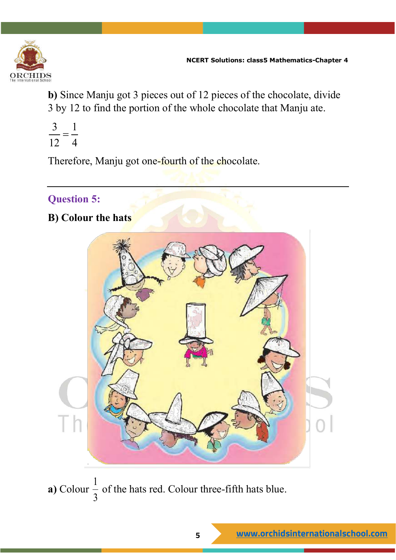

**b)** Since Manju got 3 pieces out of 12 pieces of the chocolate, divide 3 by 12 to find the portion of the whole chocolate that Manju ate.

$$
\frac{3}{12} = \frac{1}{4}
$$

Therefore, Manju got one-fourth of the chocolate.

# **Question 5:**

**B) Colour the hats**



**a)** Colour 1 3 of the hats red. Colour three-fifth hats blue.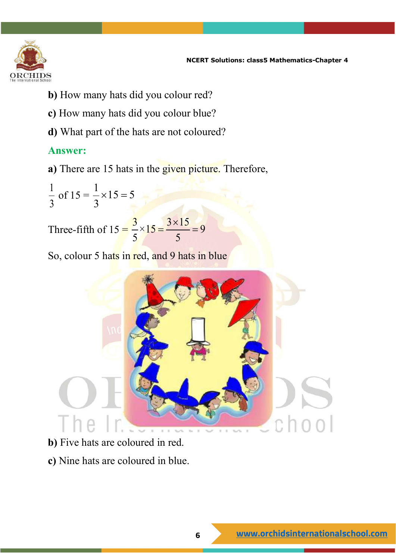

- **b)** How many hats did you colour red?
- **c)** How many hats did you colour blue?
- **d)** What part of the hats are not coloured?

#### **Answer:**

**a)** There are 15 hats in the given picture. Therefore,

1 3 of  $15 = \frac{1}{2} \times 15 = 5$ 3  $\times 15 =$ 

Three-fifth of  $15 = \frac{3}{5} \times 15 = \frac{3 \times 15}{5} = 9$ 5 5  $=\frac{3\times15}{1}$ 

So, colour 5 hats in red, and 9 hats in blue



- **b)** Five hats are coloured in red.
- **c)** Nine hats are coloured in blue.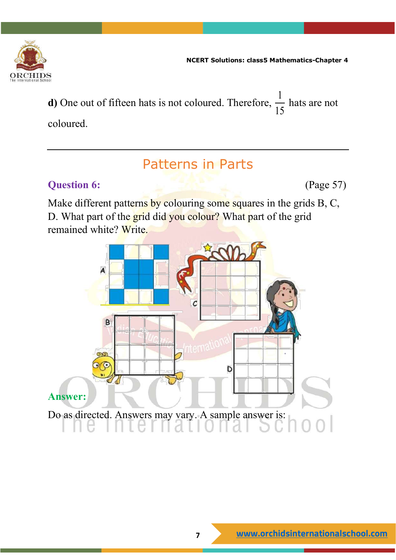

**d)** One out of fifteen hats is not coloured. Therefore, 1 15 hats are not coloured.

# Patterns in Parts

## **Question 6:** (Page 57)

Make different patterns by colouring some squares in the grids B, C, D. What part of the grid did you colour? What part of the grid remained white? Write.

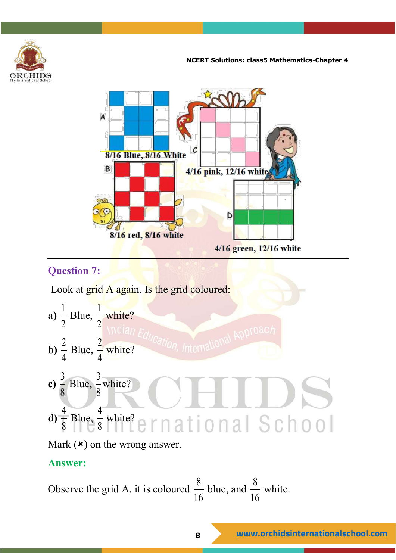



## **Question 7:**

Look at grid A again. Is the grid coloured:

a) 
$$
\frac{1}{2}
$$
 Blue,  $\frac{1}{2}$  white?  
\nb)  $\frac{2}{4}$  Blue,  $\frac{2}{4}$  white?  
\nc)  $\frac{3}{8}$  Blue,  $\frac{3}{8}$  white?  
\nd)  $\frac{4}{8}$  Blue,  $\frac{4}{8}$  white?  
\ne)  $\frac{4}{8}$  white?  
\nf)  $\frac{4}{8}$  white?  
\nf)  $\frac{4}{8}$  white?  
\n**1** 0 1 3 5 0 0 1

Mark  $(\star)$  on the wrong answer.

#### **Answer:**

Observe the grid A, it is coloured 
$$
\frac{8}{16}
$$
 blue, and  $\frac{8}{16}$  white.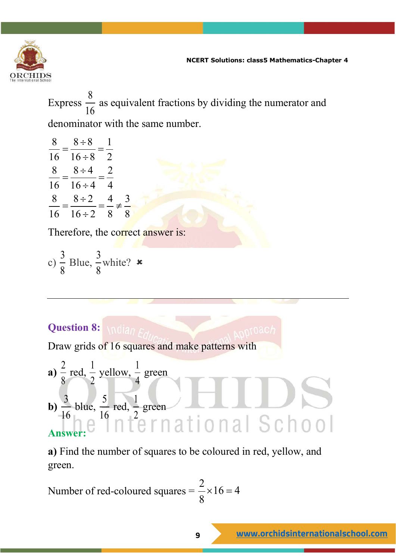

Express 8  $\frac{0}{16}$  as equivalent fractions by dividing the numerator and

denominator with the same number.

 $8 \div 8 = 1$  $\frac{8}{16} = \frac{8 \div 8}{16 \div 8} = \frac{1}{2}$  $8 \div 4 = 2$  $\frac{8}{16} = \frac{8 \div 4}{16 \div 4} = \frac{2}{4}$  $8 \div 2 \div 4 \times 3$ 16  $16 \div 2 \quad 8 \quad 8$ ÷  $=\frac{0.2}{16.2}=\frac{1}{2}\neq$ ÷

Therefore, the correct answer is:

c) 
$$
\frac{3}{8}
$$
 Blue,  $\frac{3}{8}$  white? **x**

# **Question 8:**

Draw grids of 16 squares and make patterns with

a) 
$$
\frac{2}{8}
$$
 red,  $\frac{1}{2}$  yellow,  $\frac{1}{4}$  green  
b)  $\frac{3}{16}$  blue,  $\frac{5}{16}$  red,  $\frac{1}{2}$  green  
Answer:

**a)** Find the number of squares to be coloured in red, yellow, and green.

Number of red-coloured squares = 
$$
\frac{2}{8} \times 16 = 4
$$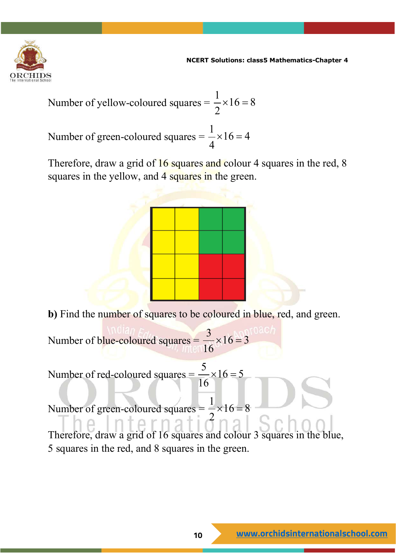

Number of yellow-coloured squares = 
$$
\frac{1}{2} \times 16 = 8
$$

Number of green-coloured squares =  $\frac{1}{4} \times 16 = 4$ 4  $\times 16 =$ 

Therefore, draw a grid of 16 squares and colour 4 squares in the red, 8 squares in the yellow, and 4 squares in the green.



**b**) Find the number of squares to be coloured in blue, red, and green.

Number of blue-coloured squares =  $\frac{3}{16} \times 16 = 3$ 16  $\times 16=$ 

Number of red-coloured squares =  $\frac{5}{16} \times 16 = 5$ 16  $\times 16 =$ 

Number of green-coloured squares =  $\frac{1}{2} \times 16 = 8$ 2  $\times 16 =$ 

Therefore, draw a grid of 16 squares and colour 3 squares in the blue, 5 squares in the red, and 8 squares in the green.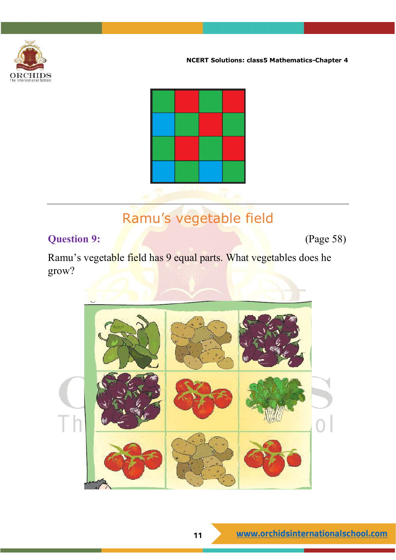



# Ramu's vegetable field

### **Question 9:** (Page 58)

Ramu's vegetable field has 9 equal parts. What vegetables does he grow?

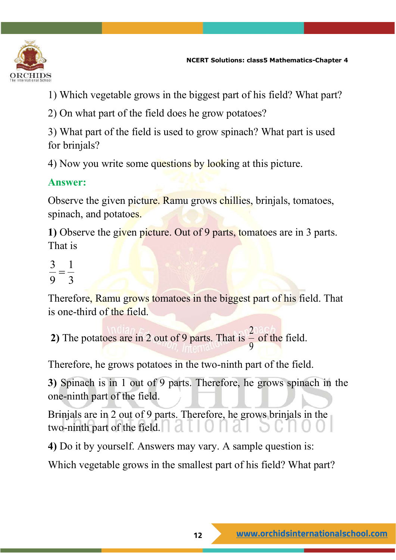

1) Which vegetable grows in the biggest part of his field? What part?

2) On what part of the field does he grow potatoes?

3) What part of the field is used to grow spinach? What part is used for brinjals?

4) Now you write some questions by looking at this picture.

#### **Answer:**

Observe the given picture. Ramu grows chillies, brinjals, tomatoes, spinach, and potatoes.

**1)** Observe the given picture. Out of 9 parts, tomatoes are in 3 parts. That is

$$
\frac{3}{9} = \frac{1}{3}
$$

Therefore, Ramu grows tomatoes in the biggest part of his field. That is one-third of the field.

**2)** The potatoes are in 2 out of 9 parts. That is 2 9 of the field.

Therefore, he grows potatoes in the two-ninth part of the field.

**3)** Spinach is in 1 out of 9 parts. Therefore, he grows spinach in the one-ninth part of the field.

Brinjals are in 2 out of 9 parts. Therefore, he grows brinjals in the two-ninth part of the field.

**4)** Do it by yourself. Answers may vary. A sample question is:

Which vegetable grows in the smallest part of his field? What part?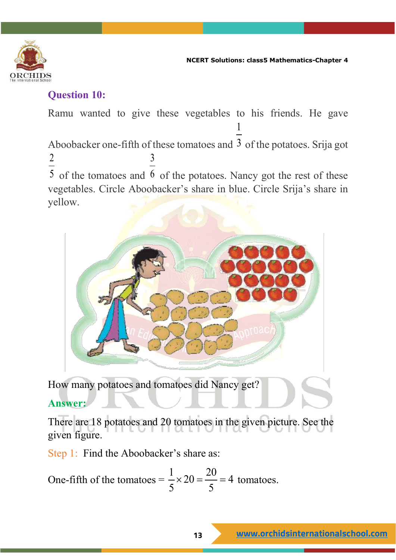

#### **Question 10:**

Ramu wanted to give these vegetables to his friends. He gave Aboobacker one-fifth of these tomatoes and  $3$  of the potatoes. Srija got 1 2 5 of the tomatoes and 6 of the potatoes. Nancy got the rest of these 3 vegetables. Circle Aboobacker's share in blue. Circle Srija's share in yellow.



How many potatoes and tomatoes did Nancy get?

## **Answer:**

There are 18 potatoes and 20 tomatoes in the given picture. See the given figure.

Step 1: Find the Aboobacker's share as:

One-fifth of the tomates 
$$
=\frac{1}{5} \times 20 = \frac{20}{5} = 4
$$
 tomates.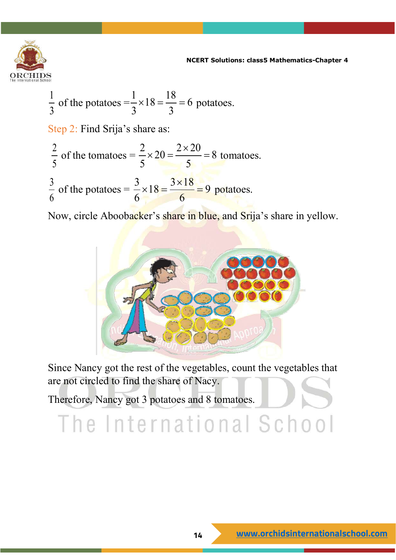

$$
\frac{1}{3} \text{ of the potatoes} = \frac{1}{3} \times 18 = \frac{18}{3} = 6 \text{ potatoes.}
$$
  
Step 2: Find Srija's share as:  

$$
\frac{2}{5} \text{ of the tomates} = \frac{2}{5} \times 20 = \frac{2 \times 20}{5} = 8 \text{ tomatoes.}
$$

$$
\frac{3}{6} \text{ of the potatoes} = \frac{3}{6} \times 18 = \frac{3 \times 18}{6} = 9 \text{ potatoes.}
$$

Now, circle Aboobacker's share in blue, and Srija's share in yellow.



Since Nancy got the rest of the vegetables, count the vegetables that are not circled to find the share of Nacy.

Therefore, Nancy got 3 potatoes and 8 tomatoes.

# The International School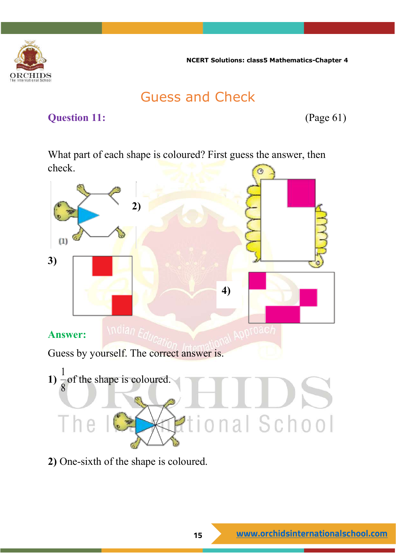

# Guess and Check

#### **Question 11:** (Page 61)

What part of each shape is coloured? First guess the answer, then check.



**2)** One-sixth of the shape is coloured.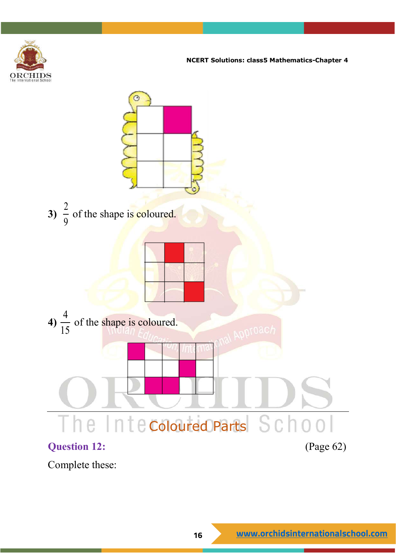



Complete these: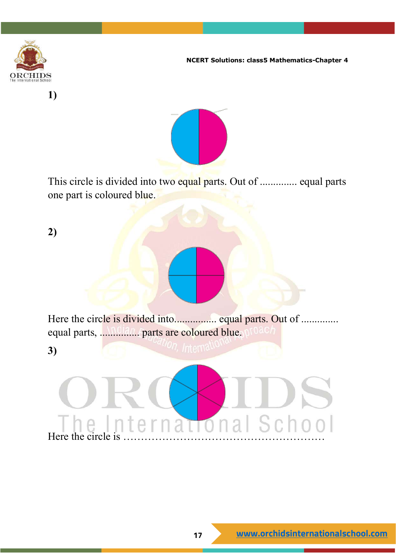



This circle is divided into two equal parts. Out of .............. equal parts one part is coloured blue.

**2)**

**1)**

Here the circle is divided into................. equal parts. Out of .............. equal parts, ................ parts are coloured blue.

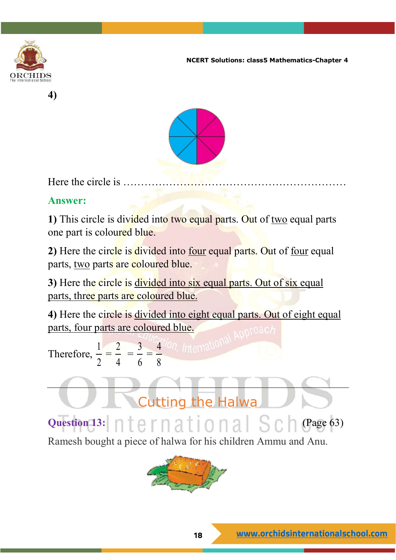





Here the circle is  $\dots$ 

#### **Answer:**

**1)** This circle is divided into two equal parts. Out of two equal parts one part is coloured blue.

**2)** Here the circle is divided into four equal parts. Out of four equal parts, two parts are coloured blue.

**3)** Here the circle is divided into six equal parts. Out of six equal parts, three parts are coloured blue.

**4)** Here the circle is divided into eight equal parts. Out of eight equal parts, four parts are coloured blue.

Therefore, 1 2 = 2 4 = 3 6 = 4 8

**Question 13:**  $n \neq p$   $n \neq 1$   $n \neq 0$   $n \neq 1$   $S$   $C$   $n$  (Page 63)

Cutting the Halwa



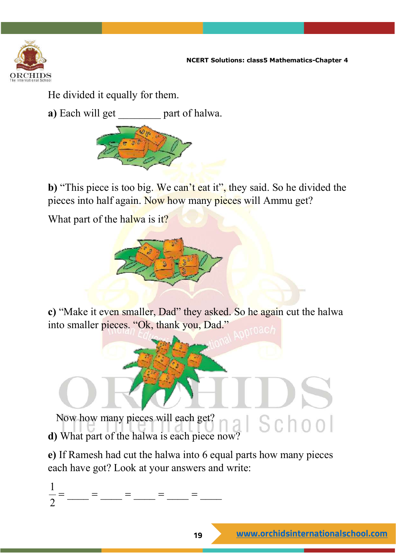

He divided it equally for them.

**a**) Each will get part of halwa.



**b)** "This piece is too big. We can't eat it", they said. So he divided the pieces into half again. Now how many pieces will Ammu get?

What part of the halwa is it?



**c)** "Make it even smaller, Dad" they asked. So he again cut the halwa into smaller pieces. "Ok, thank you, Dad."

 Now how many pieces will each get? Now how many pieces will each get?<br> **d**) What part of the halwa is each piece now?

**e)** If Ramesh had cut the halwa into 6 equal parts how many pieces each have got? Look at your answers and write:

 $\frac{1}{2}$  = \_\_\_ = \_\_\_ = \_\_\_ = \_\_\_ = \_\_\_ = \_\_\_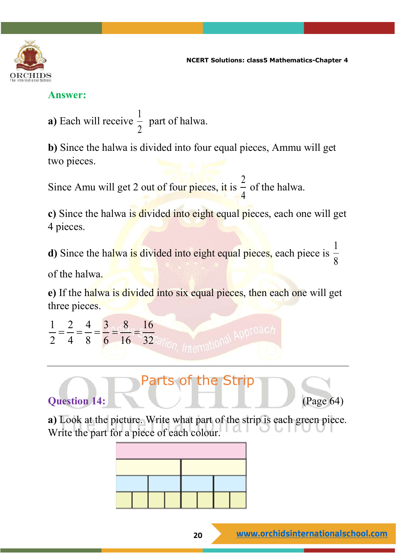

#### **Answer:**

**a)** Each will receive 1 2 part of halwa.

**b)** Since the halwa is divided into four equal pieces, Ammu will get two pieces.

Since Amu will get 2 out of four pieces, it is 2 4 of the halwa.

**c**) Since the halwa is divided into eight equal pieces, each one will get 4 pieces.

**d**) Since the halwa is divided into eight equal pieces, each piece is 1 8

of the halwa.

**e)** If the halwa is divided into six equal pieces, then each one will get three pieces.

1 2 4 3 8 16  $\frac{1}{2} = \frac{2}{4} = \frac{1}{8} = \frac{5}{6} = \frac{6}{16} = \frac{16}{32}$ 



**a)** Look at the picture. Write what part of the strip is each green piece. Write the part for a piece of each colour.

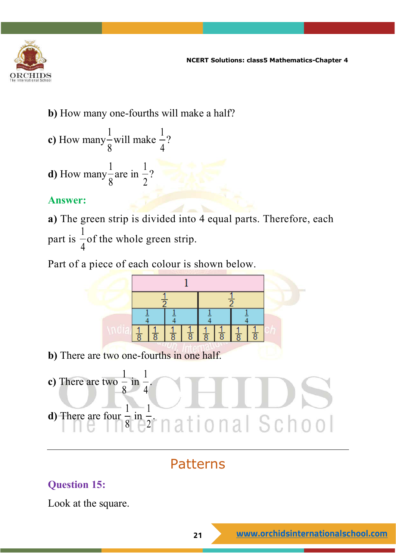

**b)** How many one-fourths will make a half?

2

**c)** How many 1 8 will make 1 4 ? **d)** How many 1 are in 1 ?

8

#### **Answer:**

**a)** The green strip is divided into 4 equal parts. Therefore, each part is 1 4 of the whole green strip.

Part of a piece of each colour is shown below.



**b)** There are two one-fourths in one half.



# Patterns

## **Question 15:**

Look at the square.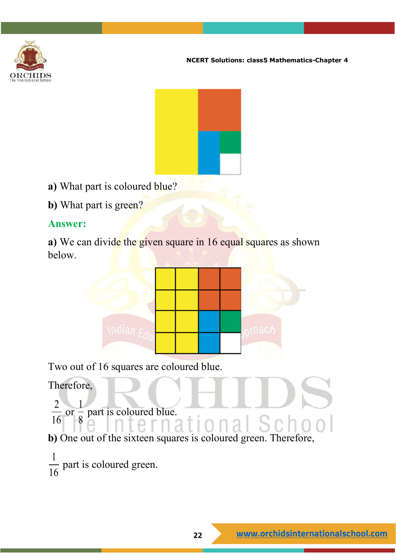



- **a)** What part is coloured blue?
- **b**) What part is green?

#### **Answer:**

**a**) We can divide the given square in 16 equal squares as shown below.



Two out of 16 squares are coloured blue.

Therefore,

2 16 or 1  $\frac{1}{8}$  part is coloured blue.

**b)** One out of the sixteen squares is coloured green. Therefore,

1  $\frac{1}{16}$  part is coloured green.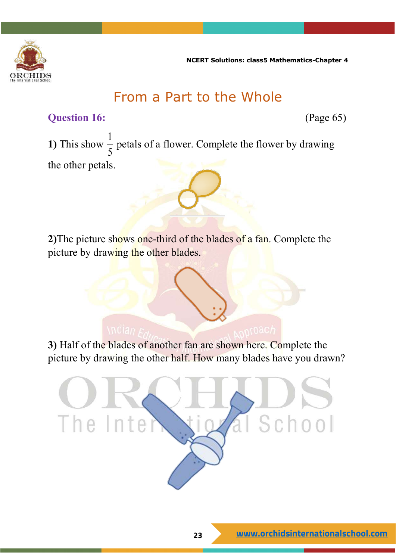

# From a Part to the Whole

#### **Question 16:** (Page 65)

**1)** This show  $\frac{1}{5}$  $\frac{1}{5}$  petals of a flower. Complete the flower by drawing the other petals.

**2)**The picture shows one-third of the blades of a fan. Complete the picture by drawing the other blades.

**3)** Half of the blades of another fan are shown here. Complete the picture by drawing the other half. How many blades have you drawn?

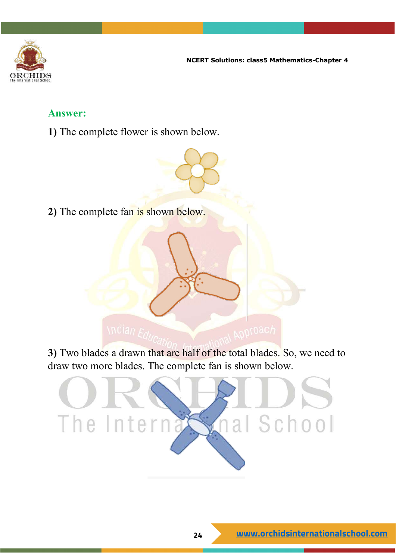![](_page_23_Picture_0.jpeg)

#### **Answer:**

**1)** The complete flower is shown below.

**2)** The complete fan is shown below.

**3)** Two blades a drawn that are half of the total blades. So, we need to draw two more blades. The complete fan is shown below.

![](_page_23_Picture_6.jpeg)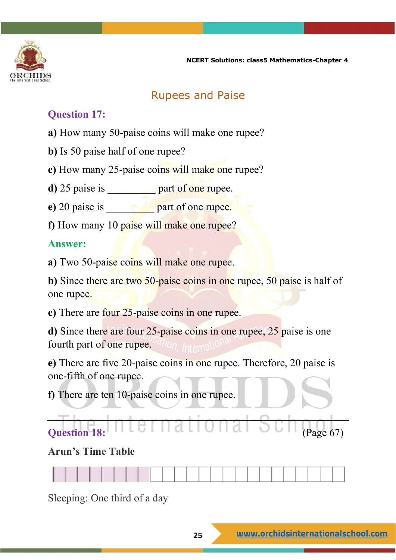![](_page_24_Picture_0.jpeg)

### Rupees and Paise

#### **Question 17:**

- **a)** How many 50-paise coins will make one rupee?
- **b)** Is 50 paise half of one rupee?
- **c)** How many 25-paise coins will make one rupee?
- **d**) 25 paise is \_\_\_\_\_\_\_\_\_\_ part of one rupee.
- **e**) 20 paise is \_\_\_\_\_\_\_\_\_\_ part of one rupee.
- **f)** How many 10 paise will make one rupee?

#### **Answer:**

**a)** Two 50-paise coins will make one rupee.

**b**) Since there are two 50-paise coins in one rupee, 50 paise is half of one rupee.

**c)** There are four 25-paise coins in one rupee.

**d)** Since there are four 25-paise coins in one rupee, 25 paise is one fourth part of one rupee.

**e)** There are five 20-paise coins in one rupee. Therefore, 20 paise is one-fifth of one rupee.

**f)** There are ten 10-paise coins in one rupee.

# **Question 18: COLLECTE 1 QUESTION COLLECTE** (Page 67)

#### **Arun's Time Table**

Sleeping: One third of a day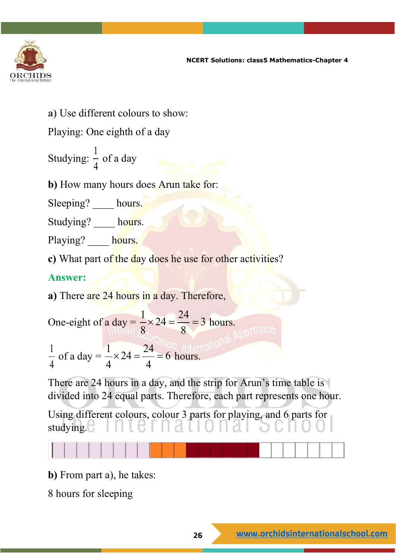![](_page_25_Picture_0.jpeg)

**a)** Use different colours to show:

Playing: One eighth of a day

Studying:  $\frac{1}{4}$  $\frac{1}{4}$  of a day

**b)** How many hours does Arun take for:

Sleeping? hours.

Studying? hours.

Playing? hours.

**c)** What part of the day does he use for other activities?

#### **Answer:**

**a)** There are 24 hours in a day. Therefore,

One-eight of a day = 
$$
\frac{1}{8} \times 24 = \frac{24}{8} = 3
$$
 hours.

$$
\frac{1}{4}
$$
 of a day  $=$   $\frac{1}{4} \times 24 = \frac{24}{4} = 6$  hours.

There are 24 hours in a day, and the strip for Arun's time table is divided into 24 equal parts. Therefore, each part represents one hour.

Using different colours, colour 3 parts for playing, and 6 parts for studying.

**b)** From part a), he takes:

8 hours for sleeping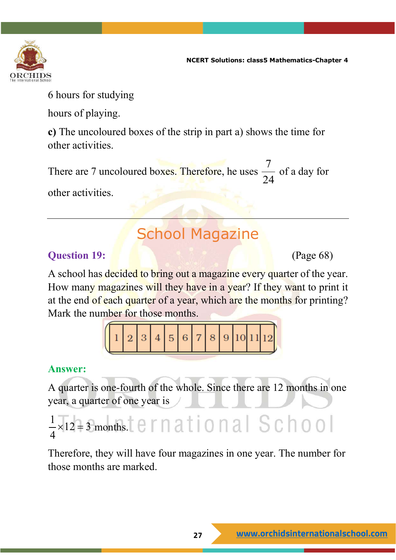![](_page_26_Picture_0.jpeg)

6 hours for studying

hours of playing.

**c)** The uncoloured boxes of the strip in part a) shows the time for other activities.

There are 7 uncoloured boxes. Therefore, he uses 7 24 of a day for other activities.

# School Magazine

## **Question 19:** (Page 68)

A school has decided to bring out a magazine every quarter of the year. How many magazines will they have in a year? If they want to print it at the end of each quarter of a year, which are the months for printing? Mark the number for those months.

## **Answer:**

A quarter is one-fourth of the whole. Since there are 12 months in one year, a quarter of one year is

$$
\frac{1}{4} \times 12 = 3
$$
 months.  $1 \times 12 = 3$  months.  $1 \times 12 = 12$ 

Therefore, they will have four magazines in one year. The number for those months are marked.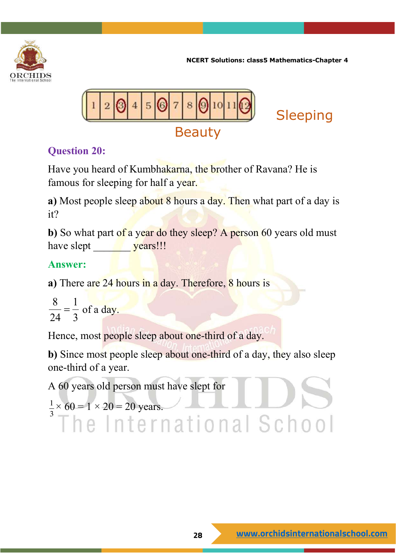![](_page_27_Picture_0.jpeg)

![](_page_27_Picture_2.jpeg)

## **Question 20:**

Have you heard of Kumbhakarna, the brother of Ravana? He is famous for sleeping for half a year.

**a)** Most people sleep about 8 hours a day. Then what part of a day is it?

**b**) So what part of a year do they sleep? A person 60 years old must have slept vears!!!

## **Answer:**

**a)** There are 24 hours in a day. Therefore, 8 hours is

8 1  $\frac{6}{24} = \frac{1}{3}$  of a day.

Hence, most people sleep about one-third of a day.

**b**) Since most people sleep about one-third of a day, they also sleep one-third of a year.

A 60 years old person must have slept for 1 3  $\times 60 = 1 \times 20 = 20$  years.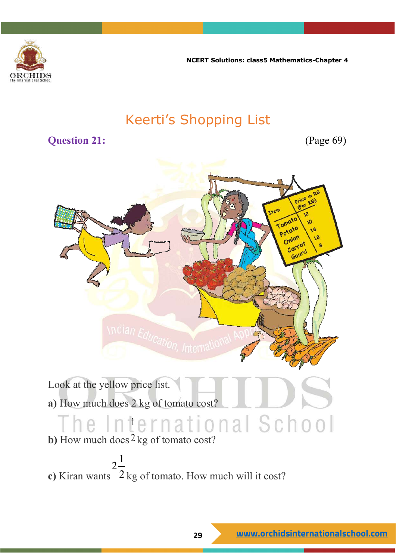![](_page_28_Picture_0.jpeg)

# Keerti's Shopping List

#### **Question 21:** (Page 69)

![](_page_28_Picture_5.jpeg)

Look at the yellow price list. **a)** How much does 2 kg of tomato cost? he International School

**b)** How much does 2 kg of tomato cost?

**c)** Kiran wants  $2\frac{1}{2}$ 2 kg of tomato. How much will it cost?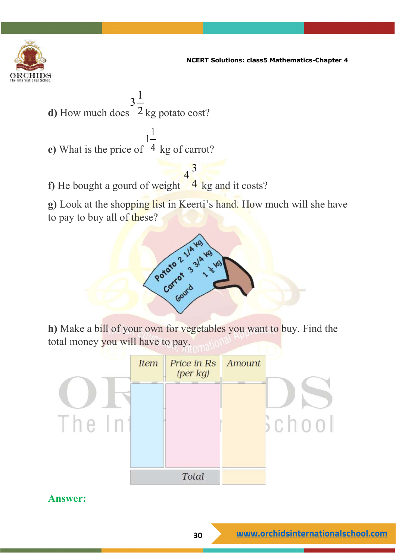![](_page_29_Picture_0.jpeg)

**d)** How much does 2 kg potato cost?  $3^{\frac{1}{2}}$ 

**e)** What is the price of 1 4 kg of carrot?

**f)** He bought a gourd of weight  $4\frac{3}{4}$ 4 kg and it costs?

1

**g)** Look at the shopping list in Keerti's hand. How much will she have to pay to buy all of these?

![](_page_29_Picture_6.jpeg)

**h)** Make a bill of your own for vegetables you want to buy. Find the total money you will have to pay.

![](_page_29_Figure_8.jpeg)

#### **Answer:**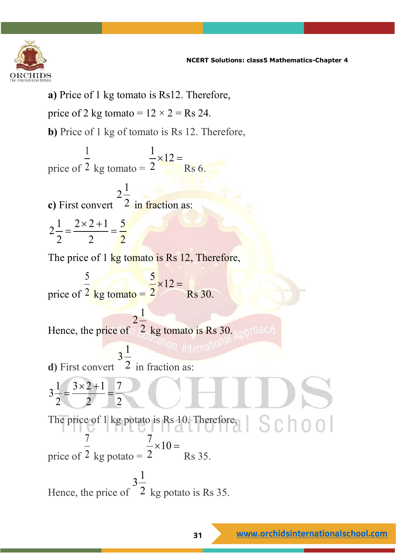![](_page_30_Picture_0.jpeg)

**a)** Price of 1 kg tomato is Rs12. Therefore, price of 2 kg tomato =  $12 \times 2 =$ Rs 24. **b**) Price of 1 kg of tomato is Rs 12. Therefore, price of 1 2 kg tomato  $=$  $\frac{1}{2} \times 12$ 2  $\times 12 =$ Rs 6. **c)** First convert  $2\frac{1}{2}$ 2 in fraction as:  $2\frac{1}{2} = \frac{2\times2+1}{2} = \frac{5}{2}$ 2 2 2  $=\frac{2\times 2+1}{2}=$ The price of 1 kg tomato is Rs 12, Therefore, price of 5  $2$  kg tomato  $=$  $\frac{5}{2} \times 12$ 2  $\times 12 =$ Rs 30. Hence, the price of  $2\frac{1}{2}$ 2 kg tomato is Rs 30. **d)** First convert  $3^{\underline{1}}$  $2$  in fraction as:  $3\frac{1}{2} = \frac{3\times2+1}{2} = \frac{7}{2}$ 2 2 2  $=\frac{3\times 2+1}{2}$ The price of 1 kg potato is Rs 10. Therefore,  $|\mathcal{S} \cap \mathcal{O}|$ price of 7 2 kg potato  $= 2$  $\frac{7}{2} \times 10 =$ Rs 35. Hence, the price of  $3\frac{1}{2}$ 2 kg potato is Rs 35.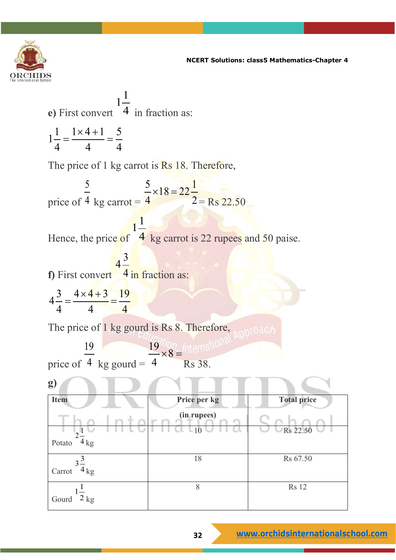![](_page_31_Picture_0.jpeg)

e) First convert 
$$
1\frac{1}{4}
$$
 in fraction as:  
\n
$$
1\frac{1}{4} = \frac{1 \times 4 + 1}{4} = \frac{5}{4}
$$
\nThe price of 1 kg cart is Rs 18. Therefore,  
\nprice of  $4$  kg cart =  $\frac{5}{4} \times 18 = 22\frac{1}{2}$  Rs 22.50  
\nHence, the price of  $4$  kg cart is 22 rupees and 50 paise.  
\nf) First convert  $4\frac{3}{4}$  in fraction as:  
\n
$$
4\frac{3}{4} = \frac{4 \times 4 + 3}{4} = \frac{19}{4}
$$
\nThe price of 1 kg gourd is Rs 8. Therefore,  
\nprice of  $4$  kg gourd =  $\frac{19}{4} \times 8 = \frac{19}{10} \times 10^{-10}$  A pp10ach  
\nprice of  $4$  kg gourd =  $\frac{19}{4} \times 8 = \frac{19}{10}$  The price per kg  
\nTotal price  
\nTotal price  
\nTotal price  
\nTotal price  
\nC>Rs 22.50  
\nCarrot  $3\frac{3}{4}$  kg  
\nCourd  $1\frac{1}{2}$  kg  
\n8 Rs 12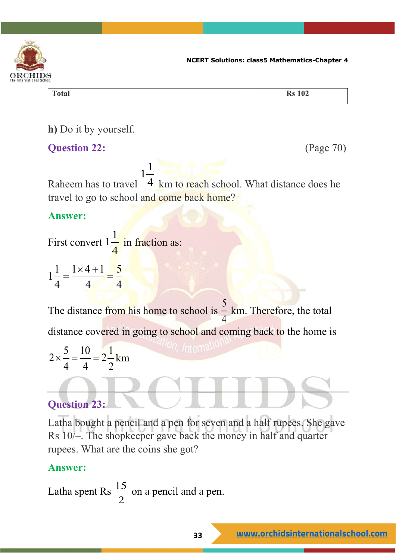![](_page_32_Picture_0.jpeg)

**Total Rs 102**

**h)** Do it by yourself.

#### **Question 22:** (Page 70)

Raheem has to travel 1 1 4 km to reach school. What distance does he travel to go to school and come back home?

#### **Answer:**

First convert 1 1 4 in fraction as:  $1\frac{1}{1} = \frac{1 \times 4 + 1}{1} = \frac{5}{1}$  $=\frac{1\times4+1}{1}$ 

The distance from his home to school is  $\frac{5}{7}$  $\frac{2}{4}$  km. Therefore, the total distance covered in going to school and coming back to the home is

$$
2 \times \frac{5}{4} = \frac{10}{4} = 2\frac{1}{2}
$$
 km

4 4 4

## **Question 23:**

Latha bought a pencil and a pen for seven and a half rupees. She gave Rs 10/–. The shopkeeper gave back the money in half and quarter rupees. What are the coins she got?

#### **Answer:**

Latha spent Rs  $\frac{15}{6}$  $\frac{2}{2}$  on a pencil and a pen.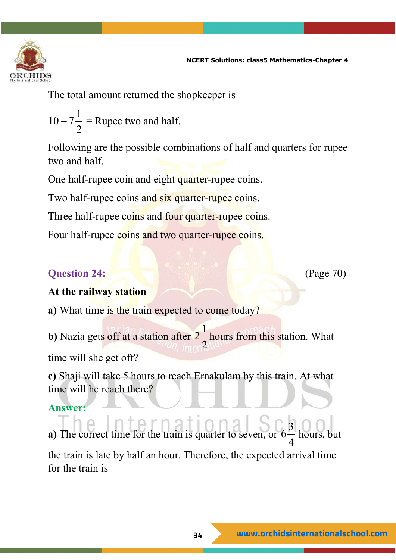![](_page_33_Picture_0.jpeg)

The total amount returned the shopkeeper is

$$
10-7\frac{1}{2} = \text{Rupee two and half.}
$$

Following are the possible combinations of half and quarters for rupee two and half.

One half-rupee coin and eight quarter-rupee coins.

Two half-rupee coins and six quarter-rupee coins.

Three half-rupee coins and four quarter-rupee coins.

Four half-rupee coins and two quarter-rupee coins.

#### **Question 24: (Page 70) (Page 70)**

#### **At the railway station**

**a)** What time is the train expected to come today?

**b**) Nazia gets off at a station after  $2\frac{1}{2}$ 2 hours from this station. What time will she get off?

**c)** Shaji will take 5 hours to reach Ernakulam by this train. At what time will he reach there?

#### **Answer:**

**a)** The correct time for the train is quarter to seven,  $6\frac{3}{4}$ 4 hours. the train is late by half an hour. Therefore, the expected arrival time for the train is